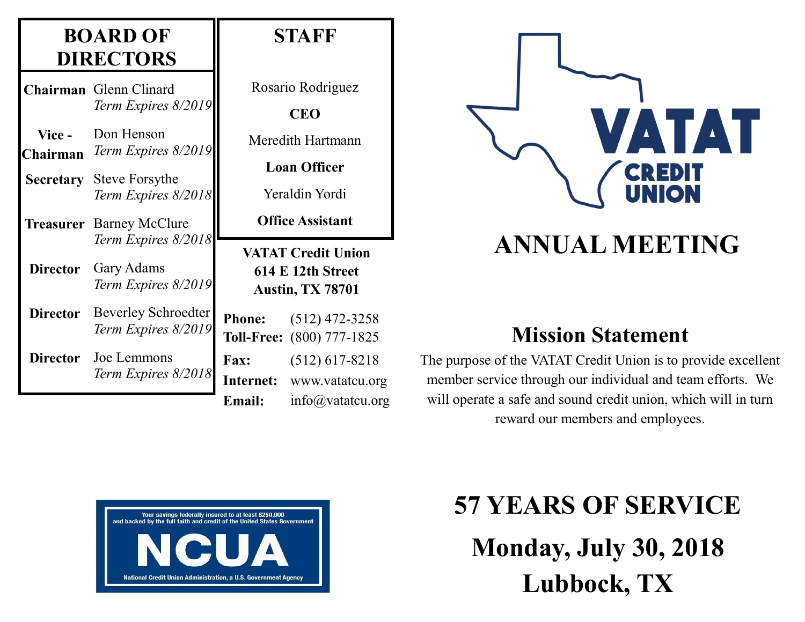#### **BOARD OF DIRECTORS**

|                  | Chairman Glenn Clinard                                   | Rosario Rodriguez                                                                                    |                                               |
|------------------|----------------------------------------------------------|------------------------------------------------------------------------------------------------------|-----------------------------------------------|
|                  | Term Expires 8/2019                                      |                                                                                                      | <b>CEO</b>                                    |
| Vice -           | Don Henson                                               |                                                                                                      | Meredith Hartmann                             |
| Chairman         | Term Expires 8/2019                                      | <b>Loan Officer</b>                                                                                  |                                               |
| <b>Secretary</b> | <b>Steve Forsythe</b><br>Term Expires 8/2018             | Yeraldin Yordi                                                                                       |                                               |
|                  | <b>Treasurer</b> Barney McClure                          | <b>Office Assistant</b><br><b>VATAT Credit Union</b><br>614 E 12th Street<br><b>Austin, TX 78701</b> |                                               |
| <b>Director</b>  | Term Expires 8/2018<br>Gary Adams<br>Term Expires 8/2019 |                                                                                                      |                                               |
| <b>Director</b>  | <b>Beverley Schroedter</b><br>Term Expires 8/2019        | <b>Phone:</b>                                                                                        | $(512)$ 472-3258<br>Toll-Free: (800) 777-1825 |
| <b>Director</b>  | Joe Lemmons                                              | <b>Fax:</b>                                                                                          | $(512)$ 617-8218                              |
|                  | Term Expires 8/2018                                      |                                                                                                      | Internet: www.vatatcu.org                     |
|                  |                                                          | <b>Email:</b>                                                                                        | $info(a)$ vatatcu.org                         |

**STAFF**

# VATAT CREDIT

## **ANNUAL MEETING**

### **Mission Statement**

The purpose of the VATAT Credit Union is to provide excellent member service through our individual and team efforts. We will operate a safe and sound credit union, which will in turn reward our members and employees.



**57 YEARS OF SERVICE Monday, July 30, 2018 Lubbock, TX**